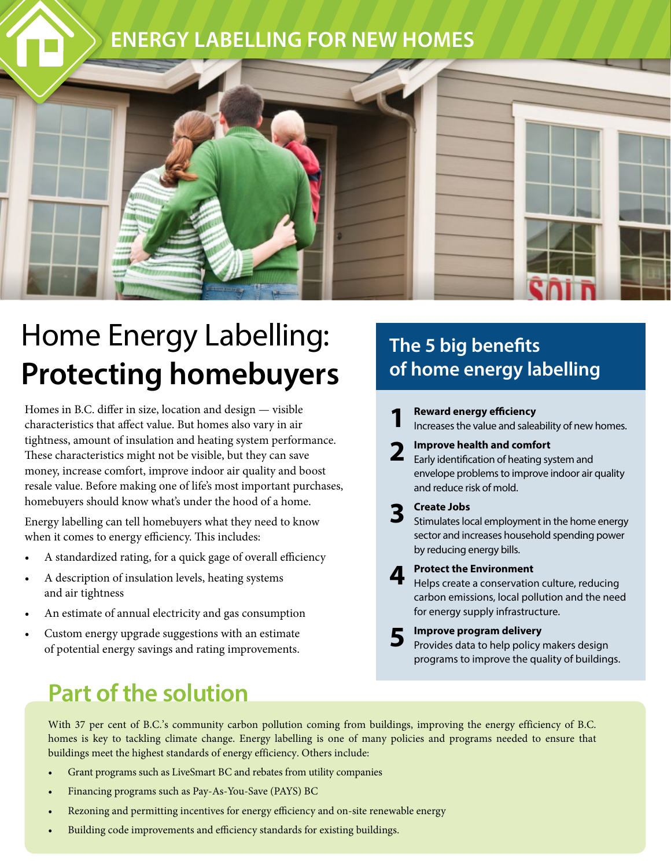

# Home Energy Labelling: **Protecting homebuyers**

Homes in B.C. differ in size, location and design — visible characteristics that affect value. But homes also vary in air tightness, amount of insulation and heating system performance. These characteristics might not be visible, but they can save money, increase comfort, improve indoor air quality and boost resale value. Before making one of life's most important purchases, homebuyers should know what's under the hood of a home.

Energy labelling can tell homebuyers what they need to know when it comes to energy efficiency. This includes:

- A standardized rating, for a quick gage of overall efficiency
- A description of insulation levels, heating systems and air tightness
- An estimate of annual electricity and gas consumption
- Custom energy upgrade suggestions with an estimate of potential energy savings and rating improvements.

### **The 5 big benefits of home energy labelling**

- **1 Reward energy efficiency** Increases the value and saleability of new homes. **2 Improve health and comfort** Early identification of heating system and envelope problems to improve indoor air quality and reduce risk of mold. **3 Create Jobs** Stimulates local employment in the home energy sector and increases household spending power by reducing energy bills. **4 Protect the Environment** Helps create a conservation culture, reducing carbon emissions, local pollution and the need for energy supply infrastructure.
	- **5** Improve program delivery<br> **5** Provides data to help policy makers design programs to improve the quality of buildings.

### **Part of the solution**

With 37 per cent of B.C.'s community carbon pollution coming from buildings, improving the energy efficiency of B.C. homes is key to tackling climate change. Energy labelling is one of many policies and programs needed to ensure that buildings meet the highest standards of energy efficiency. Others include:

- Grant programs such as LiveSmart BC and rebates from utility companies
- Financing programs such as Pay-As-You-Save (PAYS) BC
- Rezoning and permitting incentives for energy efficiency and on-site renewable energy
- Building code improvements and efficiency standards for existing buildings.